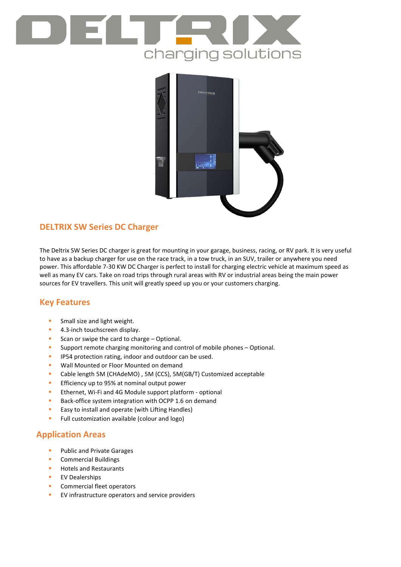



## **DELTRIX SW Series DC Charger**

The Deltrix SW Series DC charger is great for mounting in your garage, business, racing, or RV park. It is very useful to have as a backup charger for use on the race track, in a tow truck, in an SUV, trailer or anywhere you need power. This affordable 7-30 KW DC Charger is perfect to install for charging electric vehicle at maximum speed as well as many EV cars. Take on road trips through rural areas with RV or industrial areas being the main power sources for EV travellers. This unit will greatly speed up you or your customers charging.

### **Key Features**

- **Small size and light weight.**
- **4.3-inch touchscreen display.**
- Scan or swipe the card to charge Optional.
- **Support remote charging monitoring and control of mobile phones Optional.**
- **IP54 protection rating, indoor and outdoor can be used.**
- **Wall Mounted or Floor Mounted on demand**
- Cable length 5M (CHAdeMO) , 5M (CCS), 5M(GB/T) Customized acceptable
- **Efficiency up to 95% at nominal output power**
- **Ethernet, Wi-Fi and 4G Module support platform optional**
- Back-office system integration with OCPP 1.6 on demand
- **Easy to install and operate (with Lifting Handles)**
- **Full customization available (colour and logo)**

### **Application Areas**

- **Public and Private Garages**
- Commercial Buildings
- **Hotels and Restaurants**
- **EV Dealerships**
- **Commercial fleet operators**
- **EV** infrastructure operators and service providers